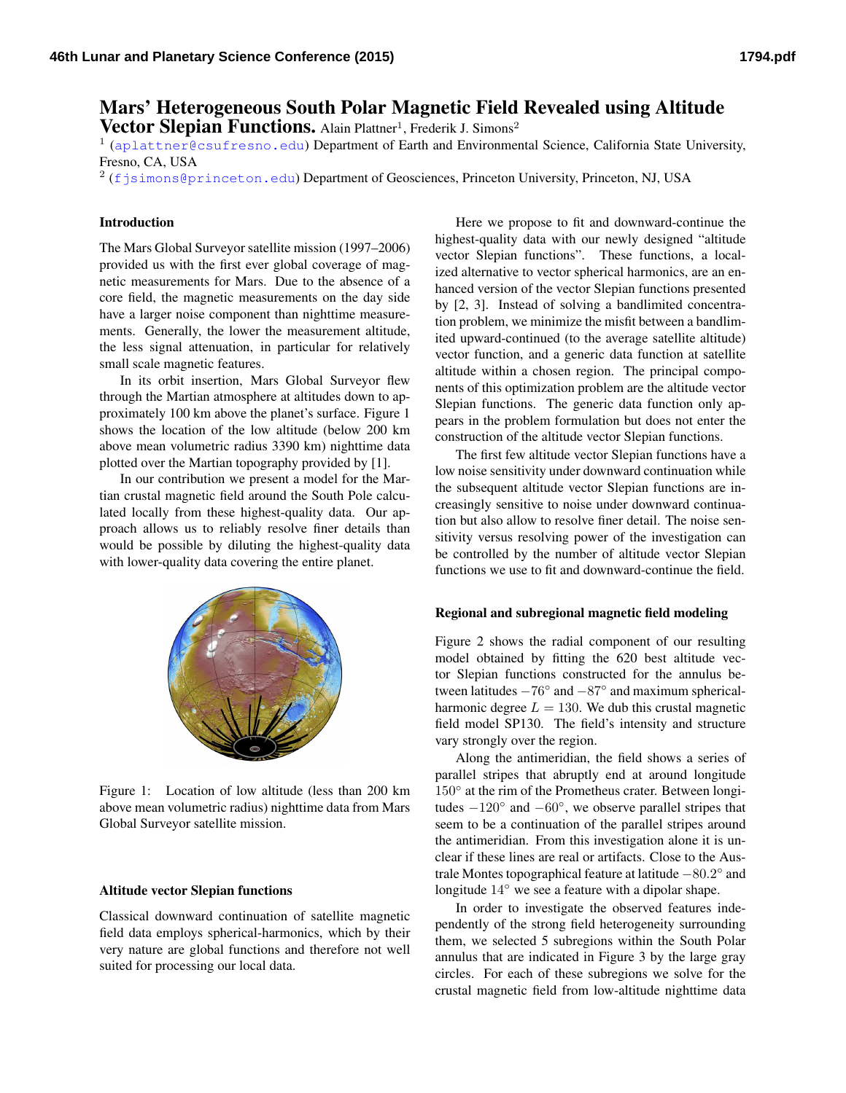# Mars' Heterogeneous South Polar Magnetic Field Revealed using Altitude

Vector Slepian Functions. Alain Plattner<sup>1</sup>, Frederik J. Simons<sup>2</sup>

<sup>1</sup> (<aplattner@csufresno.edu>) Department of Earth and Environmental Science, California State University, Fresno, CA, USA

 $2$  (<fjsimons@princeton.edu>) Department of Geosciences, Princeton University, Princeton, NJ, USA

## Introduction

The Mars Global Surveyor satellite mission (1997–2006) provided us with the first ever global coverage of magnetic measurements for Mars. Due to the absence of a core field, the magnetic measurements on the day side have a larger noise component than nighttime measurements. Generally, the lower the measurement altitude, the less signal attenuation, in particular for relatively small scale magnetic features.

In its orbit insertion, Mars Global Surveyor flew through the Martian atmosphere at altitudes down to approximately 100 km above the planet's surface. Figure [1](#page-0-0) shows the location of the low altitude (below 200 km above mean volumetric radius 3390 km) nighttime data plotted over the Martian topography provided by [\[1\]](#page-1-0).

In our contribution we present a model for the Martian crustal magnetic field around the South Pole calculated locally from these highest-quality data. Our approach allows us to reliably resolve finer details than would be possible by diluting the highest-quality data with lower-quality data covering the entire planet.



<span id="page-0-0"></span>Figure 1: Location of low altitude (less than 200 km above mean volumetric radius) nighttime data from Mars Global Surveyor satellite mission.

#### Altitude vector Slepian functions

Classical downward continuation of satellite magnetic field data employs spherical-harmonics, which by their very nature are global functions and therefore not well suited for processing our local data.

Here we propose to fit and downward-continue the highest-quality data with our newly designed "altitude vector Slepian functions". These functions, a localized alternative to vector spherical harmonics, are an enhanced version of the vector Slepian functions presented by [\[2,](#page-1-1) [3\]](#page-1-2). Instead of solving a bandlimited concentration problem, we minimize the misfit between a bandlimited upward-continued (to the average satellite altitude) vector function, and a generic data function at satellite altitude within a chosen region. The principal components of this optimization problem are the altitude vector Slepian functions. The generic data function only appears in the problem formulation but does not enter the construction of the altitude vector Slepian functions.

The first few altitude vector Slepian functions have a low noise sensitivity under downward continuation while the subsequent altitude vector Slepian functions are increasingly sensitive to noise under downward continuation but also allow to resolve finer detail. The noise sensitivity versus resolving power of the investigation can be controlled by the number of altitude vector Slepian functions we use to fit and downward-continue the field.

## Regional and subregional magnetic field modeling

Figure [2](#page-1-3) shows the radial component of our resulting model obtained by fitting the 620 best altitude vector Slepian functions constructed for the annulus between latitudes  $-76^\circ$  and  $-87^\circ$  and maximum sphericalharmonic degree  $L = 130$ . We dub this crustal magnetic field model SP130. The field's intensity and structure vary strongly over the region.

Along the antimeridian, the field shows a series of parallel stripes that abruptly end at around longitude 150° at the rim of the Prometheus crater. Between longitudes  $-120^\circ$  and  $-60^\circ$ , we observe parallel stripes that seem to be a continuation of the parallel stripes around the antimeridian. From this investigation alone it is unclear if these lines are real or artifacts. Close to the Australe Montes topographical feature at latitude -80.2° and longitude 14◦ we see a feature with a dipolar shape.

In order to investigate the observed features independently of the strong field heterogeneity surrounding them, we selected 5 subregions within the South Polar annulus that are indicated in Figure [3](#page-1-4) by the large gray circles. For each of these subregions we solve for the crustal magnetic field from low-altitude nighttime data